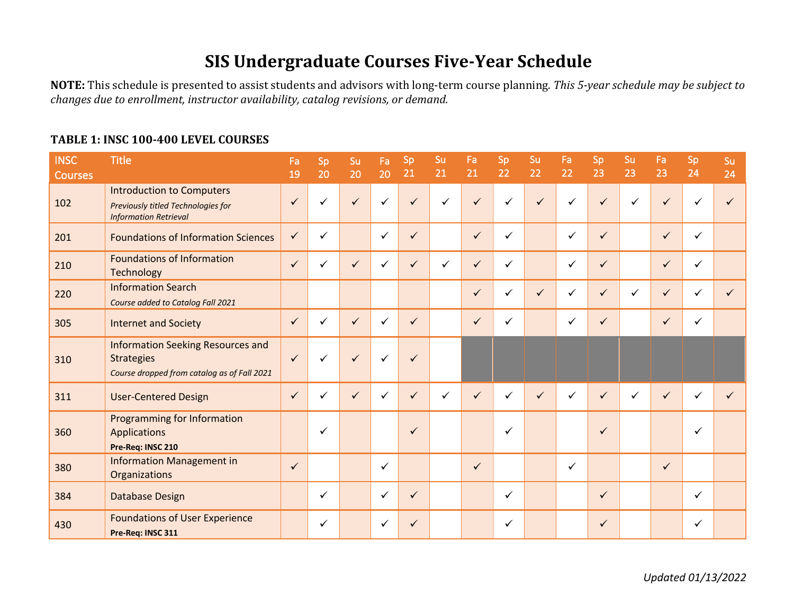## **SIS Undergraduate Courses Five-Year Schedule**

NOTE: This schedule is presented to assist students and advisors with long-term course planning. This 5-year schedule may be subject to *changes due to enrollment, instructor availability, catalog revisions, or demand.*

## TABLE 1: INSC 100-400 LEVEL COURSES

| <b>INSC</b>    | <b>Title</b>                                                                                                 | Fa           | Sp           | Su           | Fa           | Sp           | Su           | Fa           | Sp           | Su           | Fa           | Sp           | Su           | Fa           | Sp           | Su |
|----------------|--------------------------------------------------------------------------------------------------------------|--------------|--------------|--------------|--------------|--------------|--------------|--------------|--------------|--------------|--------------|--------------|--------------|--------------|--------------|----|
| <b>Courses</b> |                                                                                                              | 19           | 20           | 20           | 20           | 21           | 21           | 21           | 22           | 22           | 22           | 23           | 23           | 23           | 24           | 24 |
| 102            | <b>Introduction to Computers</b><br>Previously titled Technologies for<br><b>Information Retrieval</b>       | $\checkmark$ | ✓            | $\checkmark$ | $\checkmark$ | ✓            | ✓            |              | ✓            | $\checkmark$ | ✓            | ✓            | $\checkmark$ | $\checkmark$ | ✓            |    |
| 201            | <b>Foundations of Information Sciences</b>                                                                   | $\checkmark$ | $\checkmark$ |              | ✓            | $\checkmark$ |              | $\checkmark$ | $\checkmark$ |              | ✓            | $\checkmark$ |              | $\checkmark$ | $\checkmark$ |    |
| 210            | <b>Foundations of Information</b><br>Technology                                                              | $\checkmark$ | ✓            |              | ✓            | ✓            | $\checkmark$ | $\checkmark$ | ✓            |              | ✓            | ✓            |              | $\checkmark$ | $\checkmark$ |    |
| 220            | <b>Information Search</b><br>Course added to Catalog Fall 2021                                               |              |              |              |              |              |              | ✓            | ✓            | $\checkmark$ | $\checkmark$ | ✓            | $\checkmark$ | $\checkmark$ | ✓            |    |
| 305            | <b>Internet and Society</b>                                                                                  | $\checkmark$ | ✓            | ✓            | ✓            | $\checkmark$ |              | $\checkmark$ | ✓            |              | ✓            | ✓            |              | $\checkmark$ | $\checkmark$ |    |
| 310            | <b>Information Seeking Resources and</b><br><b>Strategies</b><br>Course dropped from catalog as of Fall 2021 | $\checkmark$ | ✓            | $\checkmark$ | $\checkmark$ | ✓            |              |              |              |              |              |              |              |              |              |    |
| 311            | <b>User-Centered Design</b>                                                                                  | $\checkmark$ | ✓            | $\checkmark$ | ✓            | $\checkmark$ | ✓            | $\checkmark$ | ✓            | $\checkmark$ | ✓            | $\checkmark$ | $\checkmark$ | $\checkmark$ | ✓            |    |
| 360            | Programming for Information<br><b>Applications</b><br>Pre-Req: INSC 210                                      |              | $\checkmark$ |              |              | ✓            |              |              | ✓            |              |              | ✓            |              |              | ✓            |    |
| 380            | <b>Information Management in</b><br>Organizations                                                            | $\checkmark$ |              |              | ✓            |              |              | ✓            |              |              | ✓            |              |              | $\checkmark$ |              |    |
| 384            | Database Design                                                                                              |              | ✓            |              | ✓            | $\checkmark$ |              |              | ✓            |              |              | ✓            |              |              | $\checkmark$ |    |
| 430            | <b>Foundations of User Experience</b><br>Pre-Req: INSC 311                                                   |              | ✓            |              | ✓            | ✓            |              |              | ✓            |              |              | ✓            |              |              | ✓            |    |